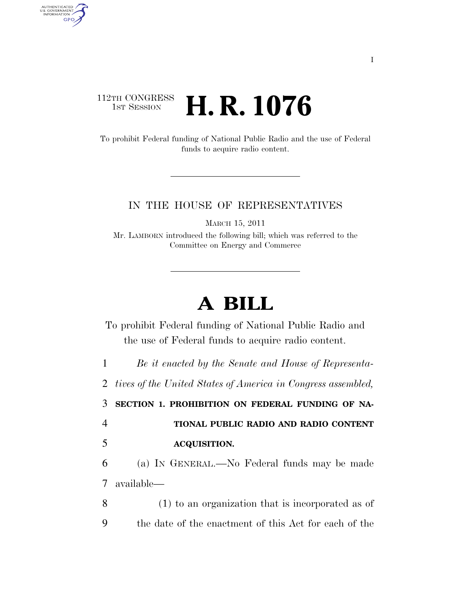## 112TH CONGRESS **1st Session H. R. 1076**

AUTHENTICATED<br>U.S. GOVERNMENT<br>INFORMATION GPO

> To prohibit Federal funding of National Public Radio and the use of Federal funds to acquire radio content.

## IN THE HOUSE OF REPRESENTATIVES

MARCH 15, 2011

Mr. LAMBORN introduced the following bill; which was referred to the Committee on Energy and Commerce

## **A BILL**

To prohibit Federal funding of National Public Radio and the use of Federal funds to acquire radio content.

1 *Be it enacted by the Senate and House of Representa-*

2 *tives of the United States of America in Congress assembled,* 

3 **SECTION 1. PROHIBITION ON FEDERAL FUNDING OF NA-**

4 **TIONAL PUBLIC RADIO AND RADIO CONTENT**  5 **ACQUISITION.** 

6 (a) IN GENERAL.—No Federal funds may be made 7 available—

8 (1) to an organization that is incorporated as of 9 the date of the enactment of this Act for each of the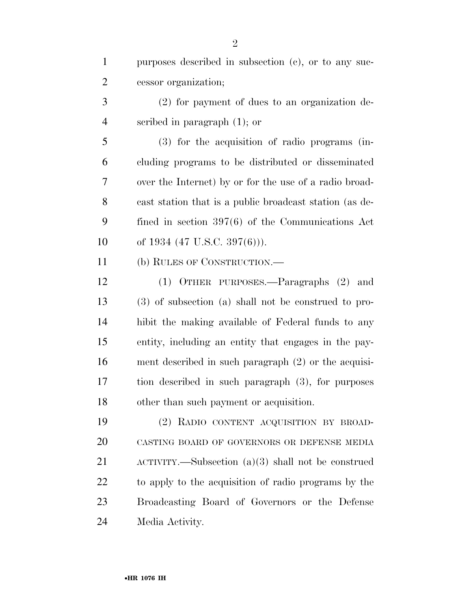| $\mathbf{1}$   | purposes described in subsection (c), or to any suc-        |
|----------------|-------------------------------------------------------------|
| $\overline{2}$ | cessor organization;                                        |
| 3              | (2) for payment of dues to an organization de-              |
| $\overline{4}$ | scribed in paragraph $(1)$ ; or                             |
| 5              | (3) for the acquisition of radio programs (in-              |
| 6              | cluding programs to be distributed or disseminated          |
| $\overline{7}$ | over the Internet) by or for the use of a radio broad-      |
| 8              | cast station that is a public broadcast station (as de-     |
| 9              | fined in section $397(6)$ of the Communications Act         |
| 10             | of 1934 (47 U.S.C. 397(6))).                                |
| 11             | (b) RULES OF CONSTRUCTION.—                                 |
| 12             | (1) OTHER PURPOSES.—Paragraphs (2) and                      |
| 13             | $(3)$ of subsection $(a)$ shall not be construed to pro-    |
| 14             | hibit the making available of Federal funds to any          |
| 15             | entity, including an entity that engages in the pay-        |
| 16             | ment described in such paragraph $(2)$ or the acquisi-      |
| 17             | tion described in such paragraph (3), for purposes          |
| 18             | other than such payment or acquisition.                     |
| 19             | (2) RADIO CONTENT ACQUISITION BY BROAD-                     |
| 20             | CASTING BOARD OF GOVERNORS OR DEFENSE MEDIA                 |
| 21             | $\Lambda$ CTIVITY.—Subsection (a)(3) shall not be construed |
| 22             | to apply to the acquisition of radio programs by the        |
| 23             | Broadcasting Board of Governors or the Defense              |
| 24             | Media Activity.                                             |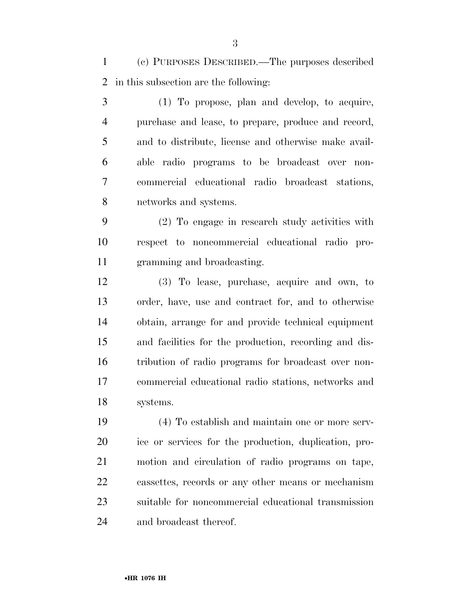(c) PURPOSES DESCRIBED.—The purposes described in this subsection are the following:

 (1) To propose, plan and develop, to acquire, purchase and lease, to prepare, produce and record, and to distribute, license and otherwise make avail- able radio programs to be broadcast over non- commercial educational radio broadcast stations, networks and systems.

 (2) To engage in research study activities with respect to noncommercial educational radio pro-gramming and broadcasting.

 (3) To lease, purchase, acquire and own, to order, have, use and contract for, and to otherwise obtain, arrange for and provide technical equipment and facilities for the production, recording and dis- tribution of radio programs for broadcast over non- commercial educational radio stations, networks and systems.

 (4) To establish and maintain one or more serv- ice or services for the production, duplication, pro- motion and circulation of radio programs on tape, cassettes, records or any other means or mechanism suitable for noncommercial educational transmission and broadcast thereof.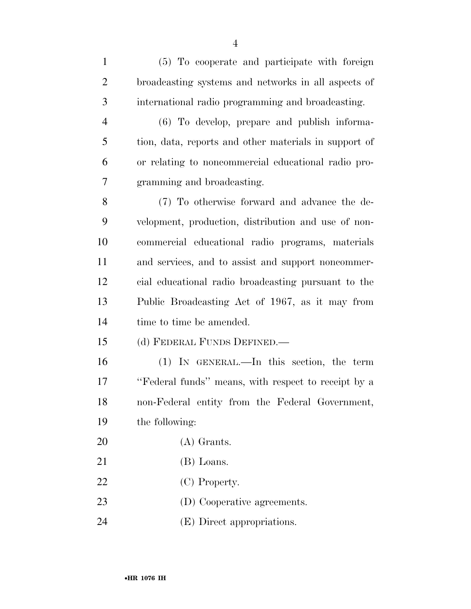| $\mathbf{1}$   | (5) To cooperate and participate with foreign         |
|----------------|-------------------------------------------------------|
| $\overline{2}$ | broadcasting systems and networks in all aspects of   |
| 3              | international radio programming and broadcasting.     |
| $\overline{4}$ | (6) To develop, prepare and publish informa-          |
| 5              | tion, data, reports and other materials in support of |
| 6              | or relating to noncommercial educational radio pro-   |
| 7              | gramming and broadcasting.                            |
| 8              | (7) To otherwise forward and advance the de-          |
| 9              | velopment, production, distribution and use of non-   |
| 10             | commercial educational radio programs, materials      |
| 11             | and services, and to assist and support noncommer-    |
| 12             | cial educational radio broadcasting pursuant to the   |
| 13             | Public Broadcasting Act of 1967, as it may from       |
| 14             | time to time be amended.                              |
| 15             | (d) FEDERAL FUNDS DEFINED.—                           |
| 16             | $(1)$ IN GENERAL.—In this section, the term           |
| 17             | "Federal funds" means, with respect to receipt by a   |
| 18             | non-Federal entity from the Federal Government,       |
| 19             | the following:                                        |
| 20             | $(A)$ Grants.                                         |
| 21             | (B) Loans.                                            |
| 22             | (C) Property.                                         |
| 23             | (D) Cooperative agreements.                           |

(E) Direct appropriations.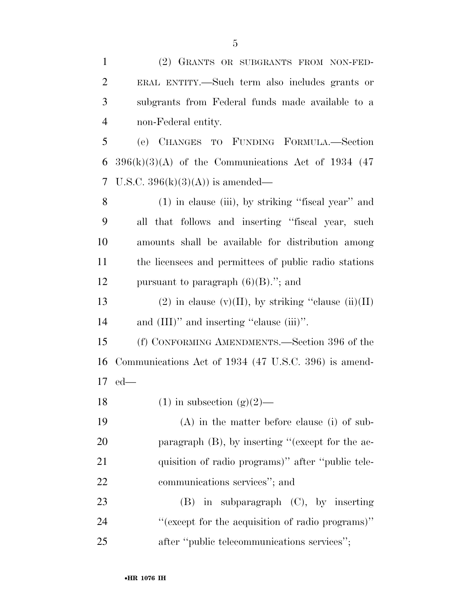| $\mathbf{1}$   | (2) GRANTS OR SUBGRANTS FROM NON-FED-                 |
|----------------|-------------------------------------------------------|
| $\overline{2}$ | ERAL ENTITY.—Such term also includes grants or        |
| 3              | subgrants from Federal funds made available to a      |
| $\overline{4}$ | non-Federal entity.                                   |
| 5              | (e) CHANGES TO FUNDING FORMULA.—Section               |
| 6              | $396(k)(3)(A)$ of the Communications Act of 1934 (47) |
| 7              | U.S.C. $396(k)(3)(A)$ is amended—                     |
| 8              | $(1)$ in clause (iii), by striking "fiscal year" and  |
| 9              | all that follows and inserting "fiscal year, such     |
| 10             | amounts shall be available for distribution among     |
| 11             | the licensees and permittees of public radio stations |
| 12             | pursuant to paragraph $(6)(B)$ ."; and                |
| 13             | (2) in clause (v)(II), by striking "clause (ii)(II)   |
| 14             | and $(III)$ " and inserting "clause $(iii)$ ".        |
| 15             | (f) CONFORMING AMENDMENTS.—Section 396 of the         |
| 16             | Communications Act of 1934 (47 U.S.C. 396) is amend-  |
| 17             | $ed$ —                                                |
| 18             | $(1)$ in subsection $(g)(2)$ —                        |
| 19             | $(A)$ in the matter before clause (i) of sub-         |
| 20             | paragraph $(B)$ , by inserting "(except for the ac-   |
| 21             | quisition of radio programs)" after "public tele-     |
| 22             | communications services"; and                         |
| 23             | in subparagraph (C), by inserting<br>(B)              |
| 24             | "(except for the acquisition of radio programs)"      |
| 25             | after "public telecommunications services";           |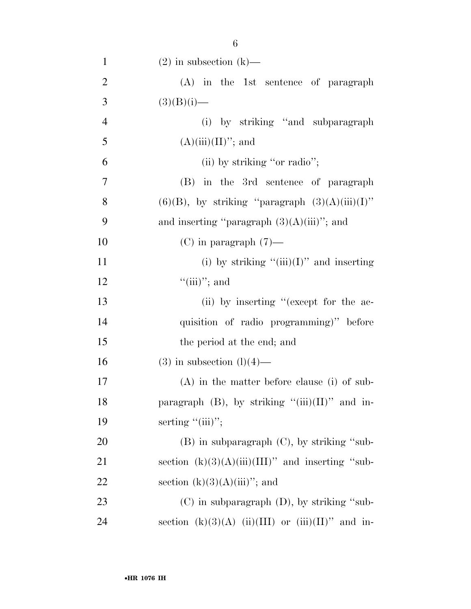| $\mathbf{1}$   | $(2)$ in subsection $(k)$ —                           |
|----------------|-------------------------------------------------------|
| $\overline{2}$ | $(A)$ in the 1st sentence of paragraph                |
| 3              | $(3)(B)(i)$ —                                         |
| $\overline{4}$ | (i) by striking "and subparagraph"                    |
| 5              | $(A)(iii)(II)$ "; and                                 |
| 6              | (ii) by striking "or radio";                          |
| 7              | (B) in the 3rd sentence of paragraph                  |
| 8              | $(6)(B)$ , by striking "paragraph $(3)(A)(iii)(I)$ "  |
| 9              | and inserting "paragraph $(3)(A)(iii)$ "; and         |
| 10             | $(C)$ in paragraph $(7)$ —                            |
| 11             | (i) by striking " $(iii)(I)$ " and inserting          |
| 12             | $``(iii)'';$ and                                      |
| 13             | (ii) by inserting "(except for the ac-                |
| 14             | quisition of radio programming)" before               |
| 15             | the period at the end; and                            |
| 16             | $(3)$ in subsection $(l)(4)$ —                        |
| 17             | $(A)$ in the matter before clause (i) of sub-         |
| 18             | paragraph $(B)$ , by striking "(iii) $(II)$ " and in- |
| 19             | serting $"(\text{iii})"$ ;                            |
| 20             | $(B)$ in subparagraph $(C)$ , by striking "sub-       |
| 21             | section $(k)(3)(A)(iii)(III)$ " and inserting "sub-   |
| 22             | section $(k)(3)(A)(iii)$ "; and                       |
| 23             | $(C)$ in subparagraph $(D)$ , by striking "sub-       |
| 24             | section $(k)(3)(A)$ (ii)(III) or (iii)(II)" and in-   |